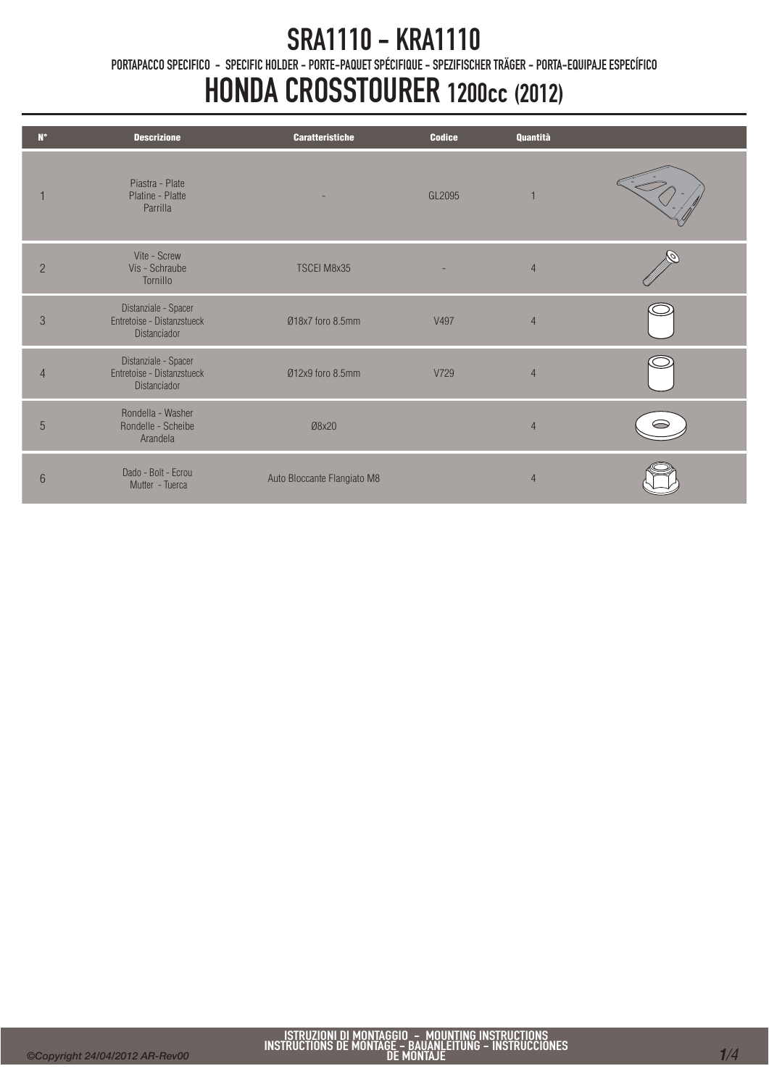## SRA1110 - KRA1110

PORTAPACCO SPECIFICO - SPECIFIC HOLDER - PORTE-PAQUET SPÉCIFIQUE - SPEZIFISCHER TRÄGER - PORTA-EQUIPAJE ESPECÍFICO

# HONDA CROSSTOURER 1200cc (2012)

| $N^{\circ}$    | <b>Descrizione</b>                                                 | <b>Caratteristiche</b>      | <b>Codice</b> | Quantità       |   |
|----------------|--------------------------------------------------------------------|-----------------------------|---------------|----------------|---|
|                | Piastra - Plate<br>Platine - Platte<br>Parrilla                    |                             | GL2095        |                |   |
| $\overline{2}$ | Vite - Screw<br>Vis - Schraube<br>Tornillo                         | TSCEI M8x35                 |               | $\overline{4}$ |   |
| 3              | Distanziale - Spacer<br>Entretoise - Distanzstueck<br>Distanciador | Ø18x7 foro 8.5mm            | V497          | $\overline{4}$ |   |
| $\overline{4}$ | Distanziale - Spacer<br>Entretoise - Distanzstueck<br>Distanciador | Ø12x9 foro 8.5mm            | V729          | $\overline{4}$ |   |
| 5              | Rondella - Washer<br>Rondelle - Scheibe<br>Arandela                | Ø8x20                       |               | $\overline{4}$ | ⌒ |
| 6              | Dado - Bolt - Ecrou<br>Mutter - Tuerca                             | Auto Bloccante Flangiato M8 |               | $\overline{4}$ |   |

Ī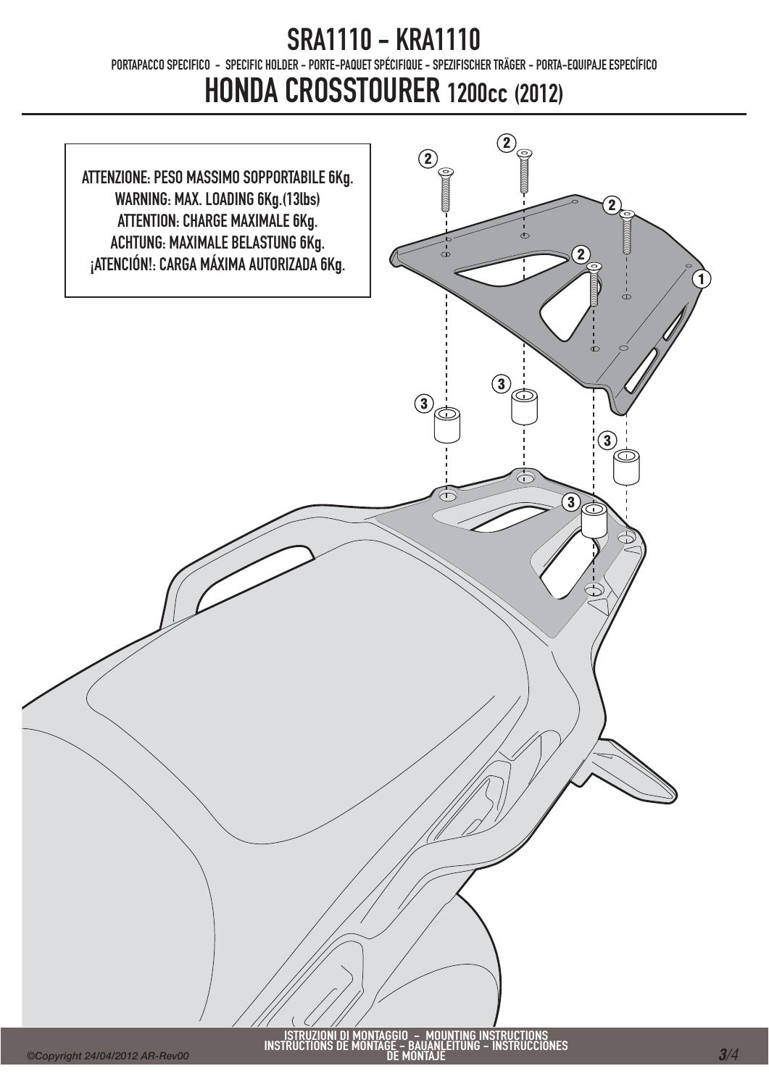#### SRA1110 - KRA1110 PORTAPACCO SPECIFICO - SPECIFIC HOLDER - PORTE-PAQUET SPÉCIFIQUE - SPEZIFISCHER TRÄGER - PORTA-EQUIPAJE ESPECÍFICO HONDA CROSSTOURER 1200cc (2012)